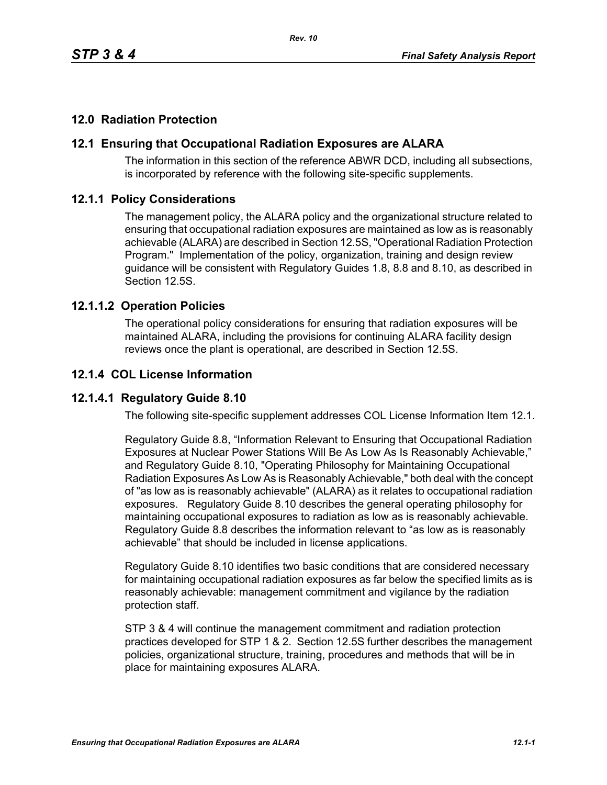# **12.0 Radiation Protection**

## **12.1 Ensuring that Occupational Radiation Exposures are ALARA**

The information in this section of the reference ABWR DCD, including all subsections, is incorporated by reference with the following site-specific supplements.

## **12.1.1 Policy Considerations**

The management policy, the ALARA policy and the organizational structure related to ensuring that occupational radiation exposures are maintained as low as is reasonably achievable (ALARA) are described in Section 12.5S, "Operational Radiation Protection Program." Implementation of the policy, organization, training and design review guidance will be consistent with Regulatory Guides 1.8, 8.8 and 8.10, as described in Section 12.5S.

## **12.1.1.2 Operation Policies**

The operational policy considerations for ensuring that radiation exposures will be maintained ALARA, including the provisions for continuing ALARA facility design reviews once the plant is operational, are described in Section 12.5S.

# **12.1.4 COL License Information**

## **12.1.4.1 Regulatory Guide 8.10**

The following site-specific supplement addresses COL License Information Item 12.1.

Regulatory Guide 8.8, "Information Relevant to Ensuring that Occupational Radiation Exposures at Nuclear Power Stations Will Be As Low As Is Reasonably Achievable," and Regulatory Guide 8.10, "Operating Philosophy for Maintaining Occupational Radiation Exposures As Low As is Reasonably Achievable," both deal with the concept of "as low as is reasonably achievable" (ALARA) as it relates to occupational radiation exposures. Regulatory Guide 8.10 describes the general operating philosophy for maintaining occupational exposures to radiation as low as is reasonably achievable. Regulatory Guide 8.8 describes the information relevant to "as low as is reasonably achievable" that should be included in license applications.

Regulatory Guide 8.10 identifies two basic conditions that are considered necessary for maintaining occupational radiation exposures as far below the specified limits as is reasonably achievable: management commitment and vigilance by the radiation protection staff.

STP 3 & 4 will continue the management commitment and radiation protection practices developed for STP 1 & 2. Section 12.5S further describes the management policies, organizational structure, training, procedures and methods that will be in place for maintaining exposures ALARA.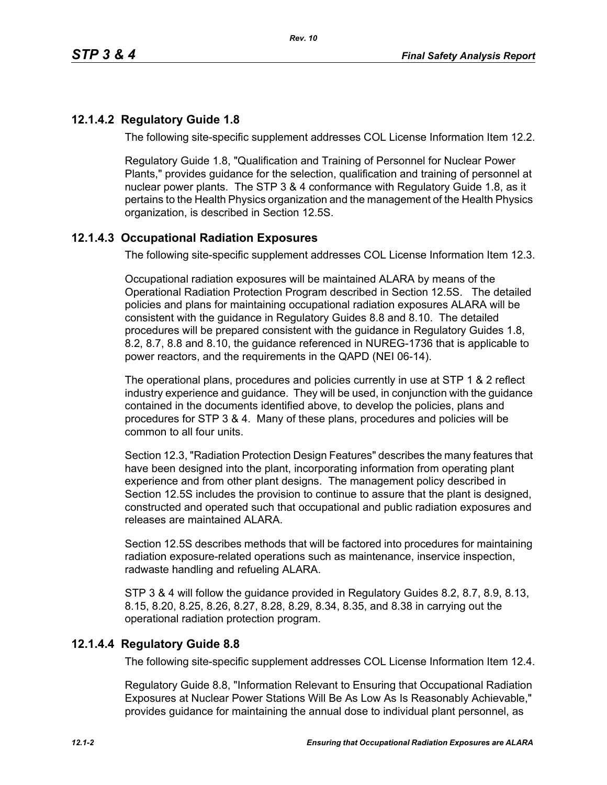## **12.1.4.2 Regulatory Guide 1.8**

The following site-specific supplement addresses COL License Information Item 12.2.

Regulatory Guide 1.8, "Qualification and Training of Personnel for Nuclear Power Plants," provides guidance for the selection, qualification and training of personnel at nuclear power plants. The STP 3 & 4 conformance with Regulatory Guide 1.8, as it pertains to the Health Physics organization and the management of the Health Physics organization, is described in Section 12.5S.

# **12.1.4.3 Occupational Radiation Exposures**

The following site-specific supplement addresses COL License Information Item 12.3.

Occupational radiation exposures will be maintained ALARA by means of the Operational Radiation Protection Program described in Section 12.5S. The detailed policies and plans for maintaining occupational radiation exposures ALARA will be consistent with the guidance in Regulatory Guides 8.8 and 8.10. The detailed procedures will be prepared consistent with the guidance in Regulatory Guides 1.8, 8.2, 8.7, 8.8 and 8.10, the guidance referenced in NUREG-1736 that is applicable to power reactors, and the requirements in the QAPD (NEI 06-14).

The operational plans, procedures and policies currently in use at STP 1 & 2 reflect industry experience and guidance. They will be used, in conjunction with the guidance contained in the documents identified above, to develop the policies, plans and procedures for STP 3 & 4. Many of these plans, procedures and policies will be common to all four units.

Section 12.3, "Radiation Protection Design Features" describes the many features that have been designed into the plant, incorporating information from operating plant experience and from other plant designs. The management policy described in Section 12.5S includes the provision to continue to assure that the plant is designed, constructed and operated such that occupational and public radiation exposures and releases are maintained ALARA

Section 12.5S describes methods that will be factored into procedures for maintaining radiation exposure-related operations such as maintenance, inservice inspection, radwaste handling and refueling ALARA.

STP 3 & 4 will follow the guidance provided in Regulatory Guides 8.2, 8.7, 8.9, 8.13, 8.15, 8.20, 8.25, 8.26, 8.27, 8.28, 8.29, 8.34, 8.35, and 8.38 in carrying out the operational radiation protection program.

## **12.1.4.4 Regulatory Guide 8.8**

The following site-specific supplement addresses COL License Information Item 12.4.

Regulatory Guide 8.8, "Information Relevant to Ensuring that Occupational Radiation Exposures at Nuclear Power Stations Will Be As Low As Is Reasonably Achievable," provides guidance for maintaining the annual dose to individual plant personnel, as